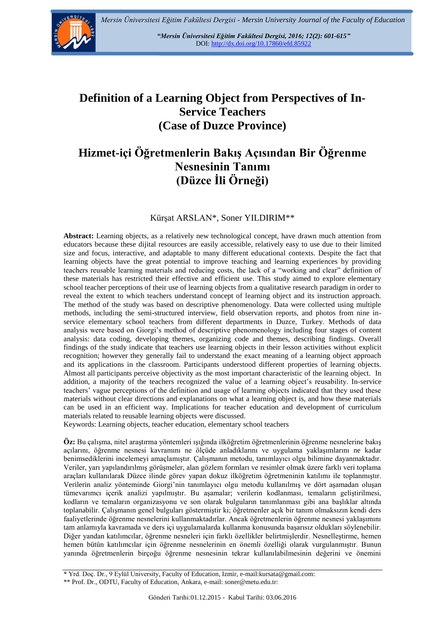

*"Mersin Üniversitesi Eğitim Fakültesi Dergisi, 2016; 12(2): 601-615"*  DOI:<http://dx.doi.org/10.17860/efd.85922>

# **Definition of a Learning Object from Perspectives of In-Service Teachers (Case of Duzce Province)**

# **Hizmet-içi Öğretmenlerin Bakış Açısından Bir Öğrenme Nesnesinin Tanımı (Düzce İli Örneği)**

#### Kürşat ARSLAN\*, Soner YILDIRIM\*\*

**Abstract:** Learning objects, as a relatively new technological concept, have drawn much attention from educators because these dijital resources are easily accessible, relatively easy to use due to their limited size and focus, interactive, and adaptable to many different educational contexts. Despite the fact that learning objects have the great potential to improve teaching and learning experiences by providing teachers reusable learning materials and reducing costs, the lack of a "working and clear" definition of these materials has restricted their effective and efficient use. This study aimed to explore elementary school teacher perceptions of their use of learning objects from a qualitative research paradigm in order to reveal the extent to which teachers understand concept of learning object and its instruction approach. The method of the study was based on descriptive phenomenology. Data were collected using multiple methods, including the semi-structured interview, field observation reports, and photos from nine inservice elementary school teachers from different departments in Duzce, Turkey. Methods of data analysis were based on Giorgi's method of descriptive phenomenology including four stages of content analysis: data coding, developing themes, organizing code and themes, describing findings. Overall findings of the study indicate that teachers use learning objects in their lesson activities without explicit recognition; however they generally fail to understand the exact meaning of a learning object approach and its applications in the classroom. Participants understood different properties of learning objects. Almost all participants perceive objectivity as the most important characteristic of the learning object. In addition, a majority of the teachers recognized the value of a learning object's reusability. In-service teachers' vague perceptions of the definition and usage of learning objects indicated that they used these materials without clear directions and explanations on what a learning object is, and how these materials can be used in an efficient way. Implications for teacher education and development of curriculum materials related to reusable learning objects were discussed.

Keywords: Learning objects, teacher education, elementary school teachers

**Öz:** Bu çalışma, nitel araştırma yöntemleri ışığında ilköğretim öğretmenlerinin öğrenme nesnelerine bakış açılarını, öğrenme nesnesi kavramını ne ölçüde anladıklarını ve uygulama yaklaşımlarını ne kadar benimsediklerini incelemeyi amaçlamıştır. Çalışmanın metodu, tanımlayıcı olgu bilimine dayanmaktadır. Veriler, yarı yapılandırılmış görüşmeler, alan gözlem formları ve resimler olmak üzere farklı veri toplama araçları kullanılarak Düzce ilinde görev yapan dokuz ilköğretim öğretmeninin katılımı ile toplanmıştır. Verilerin analiz yönteminde Giorgi'nin tanımlayıcı olgu metodu kullanılmış ve dört aşamadan oluşan tümevarımcı içerik analizi yapılmıştır. Bu aşamalar; verilerin kodlanması, temaların geliştirilmesi, kodların ve temaların organizasyonu ve son olarak bulguların tanımlanması gibi ana başlıklar altında toplanabilir. Çalışmanın genel bulguları göstermiştir ki; öğretmenler açık bir tanım olmaksızın kendi ders faaliyetlerinde öğrenme nesnelerini kullanmaktadırlar. Ancak öğretmenlerin öğrenme nesnesi yaklaşımını tam anlamıyla kavramada ve ders içi uygulamalarda kullanma konusunda başarısız oldukları söylenebilir. Diğer yandan katılımcılar, öğrenme nesneleri için farklı özellikler belirtmişlerdir. Nesnelleştirme, hemen hemen bütün katılımcılar için öğrenme nesnelerinin en önemli özelliği olarak vurgulanmıştır. Bunun yanında öğretmenlerin birçoğu öğrenme nesnesinin tekrar kullanılabilmesinin değerini ve önemini

<sup>\*</sup> Yrd. Doç. Dr., 9 Eylül University, Faculty of Education, Izmir, e-mail:kursata@gmail.com:

<sup>\*\*</sup> Prof. Dr., ODTU, Faculty of Education, Ankara, e-mail: soner@metu.edu.tr: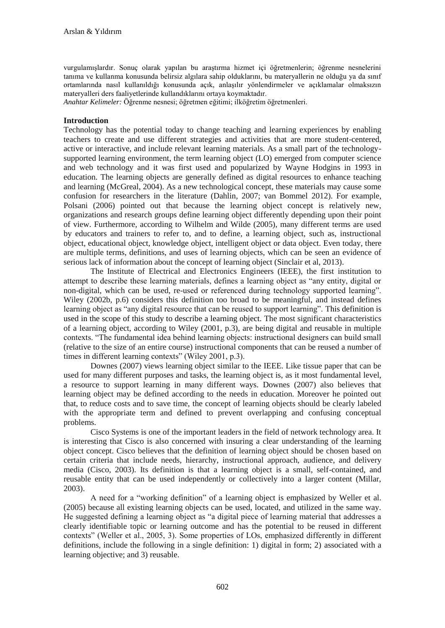vurgulamışlardır. Sonuç olarak yapılan bu araştırma hizmet içi öğretmenlerin; öğrenme nesnelerini tanıma ve kullanma konusunda belirsiz algılara sahip olduklarını, bu materyallerin ne olduğu ya da sınıf ortamlarında nasıl kullanıldığı konusunda açık, anlaşılır yönlendirmeler ve açıklamalar olmaksızın materyalleri ders faaliyetlerinde kullandıklarını ortaya koymaktadır.

*Anahtar Kelimeler:* Öğrenme nesnesi; öğretmen eğitimi; ilköğretim öğretmenleri.

#### **Introduction**

Technology has the potential today to change teaching and learning experiences by enabling teachers to create and use different strategies and activities that are more student-centered, active or interactive, and include relevant learning materials. As a small part of the technologysupported learning environment, the term learning object (LO) emerged from computer science and web technology and it was first used and popularized by Wayne Hodgins in 1993 in education. The learning objects are generally defined as digital resources to enhance teaching and learning (McGreal, 2004). As a new technological concept, these materials may cause some confusion for researchers in the literature (Dahlin, 2007; van Bommel 2012). For example, Polsani (2006) pointed out that because the learning object concept is relatively new, organizations and research groups define learning object differently depending upon their point of view. Furthermore, according to Wilhelm and Wilde (2005), many different terms are used by educators and trainers to refer to, and to define, a learning object, such as, instructional object, educational object, knowledge object, intelligent object or data object. Even today, there are multiple terms, definitions, and uses of learning objects, which can be seen an evidence of serious lack of information about the concept of learning object (Sinclair et al, 2013).

The Institute of Electrical and Electronics Engineers (IEEE), the first institution to attempt to describe these learning materials, defines a learning object as "any entity, digital or non-digital, which can be used, re-used or referenced during technology supported learning". Wiley (2002b, p.6) considers this definition too broad to be meaningful, and instead defines learning object as "any digital resource that can be reused to support learning". This definition is used in the scope of this study to describe a learning object. The most significant characteristics of a learning object, according to Wiley (2001, p.3), are being digital and reusable in multiple contexts. "The fundamental idea behind learning objects: instructional designers can build small (relative to the size of an entire course) instructional components that can be reused a number of times in different learning contexts" (Wiley 2001, p.3).

Downes (2007) views learning object similar to the IEEE. Like tissue paper that can be used for many different purposes and tasks, the learning object is, as it most fundamental level, a resource to support learning in many different ways. Downes (2007) also believes that learning object may be defined according to the needs in education. Moreover he pointed out that, to reduce costs and to save time, the concept of learning objects should be clearly labeled with the appropriate term and defined to prevent overlapping and confusing conceptual problems.

Cisco Systems is one of the important leaders in the field of network technology area. It is interesting that Cisco is also concerned with insuring a clear understanding of the learning object concept. Cisco believes that the definition of learning object should be chosen based on certain criteria that include needs, hierarchy, instructional approach, audience, and delivery media (Cisco, 2003). Its definition is that a learning object is a small, self-contained, and reusable entity that can be used independently or collectively into a larger content (Millar, 2003).

A need for a "working definition" of a learning object is emphasized by Weller et al. (2005) because all existing learning objects can be used, located, and utilized in the same way. He suggested defining a learning object as "a digital piece of learning material that addresses a clearly identifiable topic or learning outcome and has the potential to be reused in different contexts" (Weller et al., 2005, 3). Some properties of LOs, emphasized differently in different definitions, include the following in a single definition: 1) digital in form; 2) associated with a learning objective; and 3) reusable.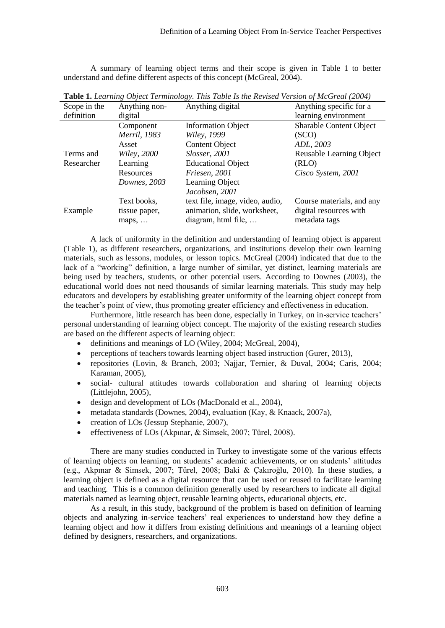A summary of learning object terms and their scope is given in Table 1 to better understand and define different aspects of this concept (McGreal, 2004).

| Scope in the | Anything non-      | Anything digital                | Anything specific for a        |
|--------------|--------------------|---------------------------------|--------------------------------|
| definition   | digital            |                                 | learning environment           |
|              | Component          | <b>Information Object</b>       | <b>Sharable Content Object</b> |
|              | Merril, 1983       | <i>Wiley, 1999</i>              | (SCO)                          |
|              | Asset              | <b>Content Object</b>           | ADL, 2003                      |
| Terms and    | <i>Wiley, 2000</i> | Slosser, 2001                   | Reusable Learning Object       |
| Researcher   | Learning           | <b>Educational Object</b>       | (RLO)                          |
|              | Resources          | Friesen, 2001                   | Cisco System, 2001             |
|              | Downes, 2003       | Learning Object                 |                                |
|              |                    | Jacobsen, 2001                  |                                |
|              | Text books,        | text file, image, video, audio, | Course materials, and any      |
| Example      | tissue paper,      | animation, slide, worksheet,    | digital resources with         |
|              | maps, $\dots$      | diagram, html file,             | metadata tags                  |

**Table 1.** *Learning Object Terminology. This Table Is the Revised Version of McGreal (2004)*

A lack of uniformity in the definition and understanding of learning object is apparent (Table 1), as different researchers, organizations, and institutions develop their own learning materials, such as lessons, modules, or lesson topics. McGreal (2004) indicated that due to the lack of a "working" definition, a large number of similar, yet distinct, learning materials are being used by teachers, students, or other potential users. According to Downes (2003), the educational world does not need thousands of similar learning materials. This study may help educators and developers by establishing greater uniformity of the learning object concept from the teacher's point of view, thus promoting greater efficiency and effectiveness in education.

Furthermore, little research has been done, especially in Turkey, on in-service teachers' personal understanding of learning object concept. The majority of the existing research studies are based on the different aspects of learning object:

- definitions and meanings of LO (Wiley, 2004; McGreal, 2004),
- perceptions of teachers towards learning object based instruction (Gurer, 2013),
- repositories (Lovin, & Branch, 2003; Najjar, Ternier, & Duval, 2004; Caris, 2004; Karaman, 2005),
- social- cultural attitudes towards collaboration and sharing of learning objects (Littlejohn, 2005),
- design and development of LOs (MacDonald et al., 2004),
- metadata standards (Downes, 2004), evaluation (Kay, & Knaack, 2007a),
- creation of LOs (Jessup Stephanie, 2007),
- effectiveness of LOs (Akpınar, & Simsek, 2007; Türel, 2008).

There are many studies conducted in Turkey to investigate some of the various effects of learning objects on learning, on students' academic achievements, or on students' attitudes (e.g., Akpınar & Simsek, 2007; Türel, 2008; Baki & Çakıroğlu, 2010). In these studies, a learning object is defined as a digital resource that can be used or reused to facilitate learning and teaching. This is a common definition generally used by researchers to indicate all digital materials named as learning object, reusable learning objects, educational objects, etc.

As a result, in this study, background of the problem is based on definition of learning objects and analyzing in-service teachers' real experiences to understand how they define a learning object and how it differs from existing definitions and meanings of a learning object defined by designers, researchers, and organizations.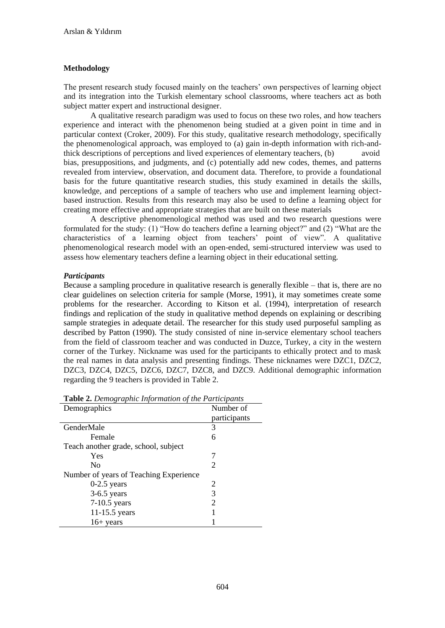# **Methodology**

The present research study focused mainly on the teachers' own perspectives of learning object and its integration into the Turkish elementary school classrooms, where teachers act as both subject matter expert and instructional designer.

A qualitative research paradigm was used to focus on these two roles, and how teachers experience and interact with the phenomenon being studied at a given point in time and in particular context (Croker, 2009). For this study, qualitative research methodology, specifically the phenomenological approach, was employed to (a) gain in-depth information with rich-andthick descriptions of perceptions and lived experiences of elementary teachers, (b) avoid bias, presuppositions, and judgments, and (c) potentially add new codes, themes, and patterns revealed from interview, observation, and document data. Therefore, to provide a foundational basis for the future quantitative research studies, this study examined in details the skills, knowledge, and perceptions of a sample of teachers who use and implement learning objectbased instruction. Results from this research may also be used to define a learning object for creating more effective and appropriate strategies that are built on these materials

A descriptive phenomenological method was used and two research questions were formulated for the study: (1) "How do teachers define a learning object?" and (2) "What are the characteristics of a learning object from teachers' point of view". A qualitative phenomenological research model with an open-ended, semi-structured interview was used to assess how elementary teachers define a learning object in their educational setting.

# *Participants*

Because a sampling procedure in qualitative research is generally flexible – that is, there are no clear guidelines on selection criteria for sample (Morse, 1991), it may sometimes create some problems for the researcher. According to Kitson et al. (1994), interpretation of research findings and replication of the study in qualitative method depends on explaining or describing sample strategies in adequate detail. The researcher for this study used purposeful sampling as described by Patton (1990). The study consisted of nine in-service elementary school teachers from the field of classroom teacher and was conducted in Duzce, Turkey, a city in the western corner of the Turkey. Nickname was used for the participants to ethically protect and to mask the real names in data analysis and presenting findings. These nicknames were DZC1, DZC2, DZC3, DZC4, DZC5, DZC6, DZC7, DZC8, and DZC9. Additional demographic information regarding the 9 teachers is provided in Table 2.

| Demographics                           | Number of             |  |  |
|----------------------------------------|-----------------------|--|--|
|                                        | participants          |  |  |
| GenderMale                             | 3                     |  |  |
| Female                                 | 6                     |  |  |
| Teach another grade, school, subject   |                       |  |  |
| Yes                                    |                       |  |  |
| $\rm No$                               | $\mathcal{D}_{\cdot}$ |  |  |
| Number of years of Teaching Experience |                       |  |  |
| $0-2.5$ years                          | $\mathcal{D}_{\cdot}$ |  |  |
| $3-6.5$ years                          | 3                     |  |  |
| $7-10.5$ years                         | 2                     |  |  |
| 11-15.5 years                          |                       |  |  |
| $16+$ years                            |                       |  |  |

| Table 2. Demographic Information of the Participants |  |
|------------------------------------------------------|--|
|                                                      |  |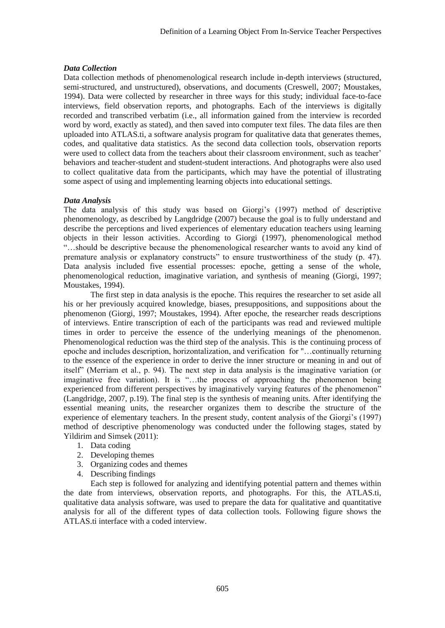## *Data Collection*

Data collection methods of phenomenological research include in-depth interviews (structured, semi-structured, and unstructured), observations, and documents (Creswell, 2007; Moustakes, 1994). Data were collected by researcher in three ways for this study; individual face-to-face interviews, field observation reports, and photographs. Each of the interviews is digitally recorded and transcribed verbatim (i.e., all information gained from the interview is recorded word by word, exactly as stated), and then saved into computer text files. The data files are then uploaded into ATLAS.ti, a software analysis program for qualitative data that generates themes, codes, and qualitative data statistics. As the second data collection tools, observation reports were used to collect data from the teachers about their classroom environment, such as teacher' behaviors and teacher-student and student-student interactions. And photographs were also used to collect qualitative data from the participants, which may have the potential of illustrating some aspect of using and implementing learning objects into educational settings.

# *Data Analysis*

The data analysis of this study was based on Giorgi's (1997) method of descriptive phenomenology, as described by Langdridge (2007) because the goal is to fully understand and describe the perceptions and lived experiences of elementary education teachers using learning objects in their lesson activities. According to Giorgi (1997), phenomenological method "…should be descriptive because the phenomenological researcher wants to avoid any kind of premature analysis or explanatory constructs" to ensure trustworthiness of the study (p. 47). Data analysis included five essential processes: epoche, getting a sense of the whole, phenomenological reduction, imaginative variation, and synthesis of meaning (Giorgi, 1997; Moustakes, 1994).

The first step in data analysis is the epoche. This requires the researcher to set aside all his or her previously acquired knowledge, biases, presuppositions, and suppositions about the phenomenon (Giorgi, 1997; Moustakes, 1994). After epoche, the researcher reads descriptions of interviews. Entire transcription of each of the participants was read and reviewed multiple times in order to perceive the essence of the underlying meanings of the phenomenon. Phenomenological reduction was the third step of the analysis. This is the continuing process of epoche and includes description, horizontalization, and verification for "…continually returning to the essence of the experience in order to derive the inner structure or meaning in and out of itself" (Merriam et al., p. 94). The next step in data analysis is the imaginative variation (or imaginative free variation). It is "…the process of approaching the phenomenon being experienced from different perspectives by imaginatively varying features of the phenomenon" (Langdridge, 2007, p.19). The final step is the synthesis of meaning units. After identifying the essential meaning units, the researcher organizes them to describe the structure of the experience of elementary teachers. In the present study, content analysis of the Giorgi's (1997) method of descriptive phenomenology was conducted under the following stages, stated by Yildirim and Simsek (2011):

- 1. Data coding
- 2. Developing themes
- 3. Organizing codes and themes
- 4. Describing findings

Each step is followed for analyzing and identifying potential pattern and themes within the date from interviews, observation reports, and photographs. For this, the ATLAS.ti, qualitative data analysis software, was used to prepare the data for qualitative and quantitative analysis for all of the different types of data collection tools. Following figure shows the ATLAS.ti interface with a coded interview.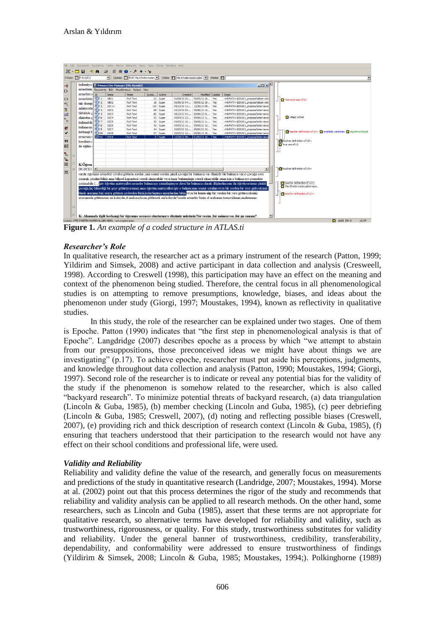| Edit Documents Quotations Codes Memos Networks Views Tools Extras Windows Help                                                                                                                                                                                                                                                                                                                                           |                                                                                                                                                                                                                                                                                            |                                                     |                                   |                                                            |                                                 |       |                      |         |                                                              |  |                                                                                                                                              |                                                                                    |  |
|--------------------------------------------------------------------------------------------------------------------------------------------------------------------------------------------------------------------------------------------------------------------------------------------------------------------------------------------------------------------------------------------------------------------------|--------------------------------------------------------------------------------------------------------------------------------------------------------------------------------------------------------------------------------------------------------------------------------------------|-----------------------------------------------------|-----------------------------------|------------------------------------------------------------|-------------------------------------------------|-------|----------------------|---------|--------------------------------------------------------------|--|----------------------------------------------------------------------------------------------------------------------------------------------|------------------------------------------------------------------------------------|--|
| $\mathbb{E}\cdot \Box$ $\Box$ $\Box$ $\rightarrow$ $\Box$<br>$\mathcal{C}$ $\mathcal{C}$ $\mathcal{C}$ $\mathcal{C}$ $\mathcal{C}$ $\mathcal{C}$ $\mathcal{C}$ $\mathcal{C}$ $\mathcal{C}$ $\mathcal{C}$ $\mathcal{C}$ $\mathcal{C}$ $\mathcal{C}$ $\mathcal{C}$ $\mathcal{C}$ $\mathcal{C}$ $\mathcal{C}$ $\mathcal{C}$ $\mathcal{C}$ $\mathcal{C}$ $\mathcal{C}$ $\mathcal{C}$ $\mathcal{C}$ $\mathcal{C}$ $\mathcal{$ |                                                                                                                                                                                                                                                                                            |                                                     |                                   |                                                            |                                                 |       |                      |         |                                                              |  |                                                                                                                                              |                                                                                    |  |
| P-Docs P P 5: DZC3<br>V Quotes [1] 5:47 i?te ö?retim matery V Codes [1] i?te ö?retim materyalleri r   Memos [1]                                                                                                                                                                                                                                                                                                          |                                                                                                                                                                                                                                                                                            |                                                     |                                   |                                                            |                                                 |       |                      |         |                                                              |  |                                                                                                                                              |                                                                                    |  |
|                                                                                                                                                                                                                                                                                                                                                                                                                          |                                                                                                                                                                                                                                                                                            |                                                     |                                   |                                                            |                                                 |       |                      |         |                                                              |  |                                                                                                                                              |                                                                                    |  |
| $\rightarrow \frac{3\pi}{2}$                                                                                                                                                                                                                                                                                                                                                                                             |                                                                                                                                                                                                                                                                                            |                                                     |                                   |                                                            | kullanılıyo: R Primary Doc Manager [HU: Hamdi2] |       |                      |         |                                                              |  |                                                                                                                                              |                                                                                    |  |
| $\triangleright$                                                                                                                                                                                                                                                                                                                                                                                                         |                                                                                                                                                                                                                                                                                            | nesnelerin Documents Edit Miscellaneous Output View |                                   |                                                            |                                                 |       |                      |         |                                                              |  |                                                                                                                                              |                                                                                    |  |
|                                                                                                                                                                                                                                                                                                                                                                                                                          |                                                                                                                                                                                                                                                                                            | nesneleri s $\sqrt{Id}$                             |                                   | Name                                                       | Media                                           | Quota | Author               | Created | Modified Usable                                              |  | Origin                                                                                                                                       |                                                                                    |  |
| ▭                                                                                                                                                                                                                                                                                                                                                                                                                        |                                                                                                                                                                                                                                                                                            | nesnelerin BP <sub>1</sub>                          |                                   | OBS1                                                       | <b>Rich Text</b>                                |       | 23 Super             |         | 06/08/10 03: 09/05/12 10 Yes                                 |  | <hupath>\EDS601 proposal\observatic</hupath>                                                                                                 | <b>C</b> Too much use of LO                                                        |  |
| ᅊ                                                                                                                                                                                                                                                                                                                                                                                                                        |                                                                                                                                                                                                                                                                                            | tak donup                                           | 画P <sub>2</sub><br>画P3<br>画P4     | OBS2                                                       | <b>Rich Text</b>                                |       | 16 Super             |         | 06/08/10 04: 09/05/12 10 Yes                                 |  | <hupath>\EDS601_proposal\observatic</hupath>                                                                                                 |                                                                                    |  |
|                                                                                                                                                                                                                                                                                                                                                                                                                          |                                                                                                                                                                                                                                                                                            | anlatiyorla                                         |                                   | DZC1~                                                      | <b>Rich Text</b>                                |       | 110 Super            |         | 05/13/10 11: 12/29/12 09 Yes                                 |  | <hupath>\EDS601_proposal\interviews</hupath>                                                                                                 |                                                                                    |  |
| 苦                                                                                                                                                                                                                                                                                                                                                                                                                        |                                                                                                                                                                                                                                                                                            | birbiriyle.s                                        |                                   | DZC <sub>2</sub>                                           | <b>Rich Text</b>                                |       | 89 Super             |         | 05/14/10 02: 09/06/12 12 Yes                                 |  | <hupath>\EDS601 proposal\interviews</hupath>                                                                                                 |                                                                                    |  |
| ₫£.                                                                                                                                                                                                                                                                                                                                                                                                                      |                                                                                                                                                                                                                                                                                            | elinizden c DP6                                     |                                   | DZC3                                                       | <b>Rich Text</b>                                |       | 80 Super             |         | 08/13/12 01: 09/06/12 01 Yes                                 |  | <hupath>\EDS601_proposal\interviews</hupath>                                                                                                 | village school                                                                     |  |
| $\mathbf{P}_{\mathrm{in}}$                                                                                                                                                                                                                                                                                                                                                                                               |                                                                                                                                                                                                                                                                                            |                                                     |                                   | DZC4<br>DZC5                                               | <b>Rich Text</b>                                |       | 52 Super             |         | 09/04/12 12: 09/05/12 11 Yes<br>09/05/12 10: 09/05/12 11 Yes |  | <hupath>\EDS601_proposal\interviews<br/><hupath>\EDS601_proposal\interviews</hupath></hupath>                                                |                                                                                    |  |
|                                                                                                                                                                                                                                                                                                                                                                                                                          |                                                                                                                                                                                                                                                                                            | kullanabili                                         |                                   | DZC6                                                       | <b>Rich Text</b><br><b>Rich Text</b>            |       | 50 Super<br>42 Super |         | 09/05/12 11: 09/05/12 12 Yes                                 |  | <hupath>\EDS601 proposal\interviews</hupath>                                                                                                 |                                                                                    |  |
| 爵                                                                                                                                                                                                                                                                                                                                                                                                                        |                                                                                                                                                                                                                                                                                            | kullanırsın <sup>1</sup>                            | <b>Mile 7</b><br>Mile 8<br>Mile 9 | DZC7                                                       | <b>Rich Text</b>                                |       | 44 Super             |         | 09/05/12 12: 09/05/12 12 Yes                                 |  | <hupath>\EDS601_proposal\interviews</hupath>                                                                                                 |                                                                                    |  |
| ✔                                                                                                                                                                                                                                                                                                                                                                                                                        |                                                                                                                                                                                                                                                                                            | herhangi b 21P10                                    |                                   | DZC8                                                       | <b>Rich Text</b>                                |       | 67 Super             |         | 09/05/12 12: 09/06/12 10 Yes                                 |  | <hupath>\EDS601_proposal\interviews</hupath>                                                                                                 | teacher defininiton of LO~ <a></a> available conditions <a></a> digital-nonDigital |  |
|                                                                                                                                                                                                                                                                                                                                                                                                                          |                                                                                                                                                                                                                                                                                            | nesnesini s                                         | P12                               | $\sqrt{ }$ DSC9                                            | <b>Rich Text</b>                                |       | 0 Super              |         | 12/29/12 09: 01/02/13 10 Yes                                 |  | <hupath>\EDS601_proposal\interviews</hupath>                                                                                                 |                                                                                    |  |
| 99                                                                                                                                                                                                                                                                                                                                                                                                                       |                                                                                                                                                                                                                                                                                            | kendinizi c                                         |                                   |                                                            |                                                 |       |                      |         |                                                              |  |                                                                                                                                              | <b>W</b> teacher defininiton of LO~                                                |  |
|                                                                                                                                                                                                                                                                                                                                                                                                                          |                                                                                                                                                                                                                                                                                            | de eğitim :                                         |                                   |                                                            |                                                 |       |                      |         |                                                              |  |                                                                                                                                              | true use of LO                                                                     |  |
|                                                                                                                                                                                                                                                                                                                                                                                                                          |                                                                                                                                                                                                                                                                                            |                                                     |                                   |                                                            |                                                 |       |                      |         |                                                              |  |                                                                                                                                              |                                                                                    |  |
| 翻しる                                                                                                                                                                                                                                                                                                                                                                                                                      |                                                                                                                                                                                                                                                                                            |                                                     |                                   |                                                            |                                                 |       |                      |         |                                                              |  |                                                                                                                                              |                                                                                    |  |
| $\mathcal{F}_{\mathbf{a}}$                                                                                                                                                                                                                                                                                                                                                                                               |                                                                                                                                                                                                                                                                                            |                                                     |                                   |                                                            |                                                 |       |                      |         |                                                              |  |                                                                                                                                              |                                                                                    |  |
|                                                                                                                                                                                                                                                                                                                                                                                                                          |                                                                                                                                                                                                                                                                                            |                                                     |                                   |                                                            |                                                 |       |                      |         |                                                              |  |                                                                                                                                              |                                                                                    |  |
| $\Box$                                                                                                                                                                                                                                                                                                                                                                                                                   |                                                                                                                                                                                                                                                                                            | K:Öğren                                             |                                   |                                                            |                                                 |       |                      |         |                                                              |  |                                                                                                                                              |                                                                                    |  |
| 嶽                                                                                                                                                                                                                                                                                                                                                                                                                        |                                                                                                                                                                                                                                                                                            | DUZCE3 <sup>1</sup>                                 |                                   |                                                            |                                                 |       |                      |         |                                                              |  |                                                                                                                                              | ₹ teacher defininiton of LO~                                                       |  |
|                                                                                                                                                                                                                                                                                                                                                                                                                          |                                                                                                                                                                                                                                                                                            |                                                     |                                   |                                                            |                                                 |       |                      |         |                                                              |  | vardır. öğrenme nesneleri cevaba götüren sorular vani somut sorular simdi cocuğa bir bulmaca var elimizde bir bulmaca var o cocuğa soru      |                                                                                    |  |
|                                                                                                                                                                                                                                                                                                                                                                                                                          |                                                                                                                                                                                                                                                                                            |                                                     |                                   |                                                            |                                                 |       |                      |         |                                                              |  | sorarak çözdürebiliriz.ama bilişsel kapasitesi yeterli olmayabilir veya hazır bulunuşluğu yeterli olmayabilir.onun için o bulmacayı çözmekte |                                                                                    |  |
|                                                                                                                                                                                                                                                                                                                                                                                                                          |                                                                                                                                                                                                                                                                                            |                                                     |                                   |                                                            |                                                 |       |                      |         |                                                              |  | zorlanabilir.()işte öğretim materyalleri nesneler bulmacayı somutlaştırıyor.dersi bir bulmaca olarak düşünelim onu da öğretiyorsunuz çünkü   |                                                                                    |  |
|                                                                                                                                                                                                                                                                                                                                                                                                                          |                                                                                                                                                                                                                                                                                            |                                                     |                                   |                                                            |                                                 |       |                      |         |                                                              |  |                                                                                                                                              |                                                                                    |  |
|                                                                                                                                                                                                                                                                                                                                                                                                                          | cocuğa hic bilmediği bir seve götürüyorsunuz ama öğretim matervalleri iste o bulmacanın somut soruları veva bir verden bir vere gideceksiniz<br>binek aracımız bizi oraya götüren şeylerden birisi kolaylaştırıcı unsurlardan birisi veya bir kumu alıp bir yerden bir yere götüreceksiniz |                                                     |                                   |                                                            |                                                 |       |                      |         |                                                              |  |                                                                                                                                              |                                                                                    |  |
|                                                                                                                                                                                                                                                                                                                                                                                                                          |                                                                                                                                                                                                                                                                                            |                                                     |                                   |                                                            |                                                 |       |                      |         |                                                              |  | avucunuzla götürmeniz mi kolaydır el arabasıyla mı götürmek mi kolaydır?orada nesneler bizim el arabamız tornovidamız anahtarımız.           | teacher defininiton of LO~                                                         |  |
|                                                                                                                                                                                                                                                                                                                                                                                                                          |                                                                                                                                                                                                                                                                                            |                                                     |                                   |                                                            |                                                 |       |                      |         |                                                              |  |                                                                                                                                              |                                                                                    |  |
|                                                                                                                                                                                                                                                                                                                                                                                                                          |                                                                                                                                                                                                                                                                                            |                                                     |                                   |                                                            |                                                 |       |                      |         |                                                              |  |                                                                                                                                              |                                                                                    |  |
|                                                                                                                                                                                                                                                                                                                                                                                                                          | 19                                                                                                                                                                                                                                                                                         |                                                     |                                   |                                                            |                                                 |       |                      |         |                                                              |  |                                                                                                                                              |                                                                                    |  |
|                                                                                                                                                                                                                                                                                                                                                                                                                          |                                                                                                                                                                                                                                                                                            |                                                     |                                   |                                                            |                                                 |       |                      |         |                                                              |  |                                                                                                                                              |                                                                                    |  |
|                                                                                                                                                                                                                                                                                                                                                                                                                          |                                                                                                                                                                                                                                                                                            |                                                     |                                   |                                                            |                                                 |       |                      |         |                                                              |  | K: Alanmızla ilgili herhangi bir öğrenme nesnesi olusturmayı düşünür müşünüz?bir resim ,bir animasyon ,bir pp sunum?                         | ▾                                                                                  |  |
|                                                                                                                                                                                                                                                                                                                                                                                                                          |                                                                                                                                                                                                                                                                                            |                                                     |                                   | Code(s): I?TE Ö?RETIM MATERYALLERI NESN., not created anew |                                                 |       |                      |         |                                                              |  |                                                                                                                                              | ANSI CP: 0<br>10:37                                                                |  |

**Figure 1.** *An example of a coded structure in ATLAS.ti*

# *Researcher's Role*

In qualitative research, the researcher act as a primary instrument of the research (Patton, 1999; Yildirim and Simsek, 2008) and active participant in data collection and analysis (Cresweell, 1998). According to Creswell (1998), this participation may have an effect on the meaning and context of the phenomenon being studied. Therefore, the central focus in all phenomenological studies is on attempting to remove presumptions, knowledge, biases, and ideas about the phenomenon under study (Giorgi, 1997; Moustakes, 1994), known as reflectivity in qualitative studies.

In this study, the role of the researcher can be explained under two stages. One of them is Epoche. Patton (1990) indicates that "the first step in phenomenological analysis is that of Epoche". Langdridge (2007) describes epoche as a process by which "we attempt to abstain from our presuppositions, those preconceived ideas we might have about things we are investigating" (p.17). To achieve epoche, researcher must put aside his perceptions, judgments, and knowledge throughout data collection and analysis (Patton, 1990; Moustakes, 1994; Giorgi, 1997). Second role of the researcher is to indicate or reveal any potential bias for the validity of the study if the phenomenon is somehow related to the researcher, which is also called "backyard research". To minimize potential threats of backyard research, (a) data triangulation (Lincoln & Guba, 1985), (b) member checking (Lincoln and Guba, 1985), (c) peer debriefing (Lincoln & Guba, 1985; Creswell, 2007), (d) noting and reflecting possible biases (Creswell, 2007), (e) providing rich and thick description of research context (Lincoln & Guba, 1985), (f) ensuring that teachers understood that their participation to the research would not have any effect on their school conditions and professional life, were used.

# *Validity and Reliability*

Reliability and validity define the value of the research, and generally focus on measurements and predictions of the study in quantitative research (Landridge, 2007; Moustakes, 1994). Morse at al. (2002) point out that this process determines the rigor of the study and recommends that reliability and validity analysis can be applied to all research methods. On the other hand, some researchers, such as Lincoln and Guba (1985), assert that these terms are not appropriate for qualitative research, so alternative terms have developed for reliability and validity, such as trustworthiness, rigorousness, or quality. For this study, trustworthiness substitutes for validity and reliability. Under the general banner of trustworthiness, credibility, transferability, dependability, and conformability were addressed to ensure trustworthiness of findings (Yildirim & Simsek, 2008; Lincoln & Guba, 1985; Moustakes, 1994;). Polkinghorne (1989)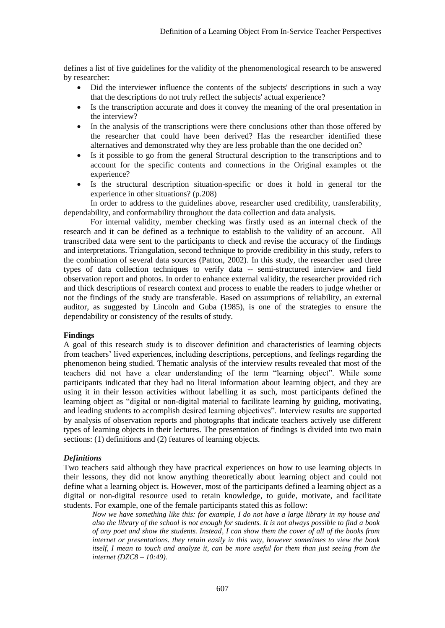defines a list of five guidelines for the validity of the phenomenological research to be answered by researcher:

- Did the interviewer influence the contents of the subjects' descriptions in such a way that the descriptions do not truly reflect the subjects' actual experience?
- Is the transcription accurate and does it convey the meaning of the oral presentation in the interview?
- In the analysis of the transcriptions were there conclusions other than those offered by the researcher that could have been derived? Has the researcher identified these alternatives and demonstrated why they are less probable than the one decided on?
- Is it possible to go from the general Structural description to the transcriptions and to account for the specific contents and connections in the Original examples ot the experience?
- Is the structural description situation-specific or does it hold in general tor the experience in other situations? (p.208)

In order to address to the guidelines above, researcher used credibility, transferability, dependability, and conformability throughout the data collection and data analysis.

For internal validity, member checking was firstly used as an internal check of the research and it can be defined as a technique to establish to the validity of an account. All transcribed data were sent to the participants to check and revise the accuracy of the findings and interpretations. Triangulation, second technique to provide credibility in this study, refers to the combination of several data sources (Patton, 2002). In this study, the researcher used three types of data collection techniques to verify data -- semi-structured interview and field observation report and photos. In order to enhance external validity, the researcher provided rich and thick descriptions of research context and process to enable the readers to judge whether or not the findings of the study are transferable. Based on assumptions of reliability, an external auditor, as suggested by Lincoln and Guba (1985), is one of the strategies to ensure the dependability or consistency of the results of study.

## **Findings**

A goal of this research study is to discover definition and characteristics of learning objects from teachers' lived experiences, including descriptions, perceptions, and feelings regarding the phenomenon being studied. Thematic analysis of the interview results revealed that most of the teachers did not have a clear understanding of the term "learning object". While some participants indicated that they had no literal information about learning object, and they are using it in their lesson activities without labelling it as such, most participants defined the learning object as "digital or non-digital material to facilitate learning by guiding, motivating, and leading students to accomplish desired learning objectives". Interview results are supported by analysis of observation reports and photographs that indicate teachers actively use different types of learning objects in their lectures. The presentation of findings is divided into two main sections: (1) definitions and (2) features of learning objects.

## *Definitions*

Two teachers said although they have practical experiences on how to use learning objects in their lessons, they did not know anything theoretically about learning object and could not define what a learning object is. However, most of the participants defined a learning object as a digital or non-digital resource used to retain knowledge, to guide, motivate, and facilitate students. For example, one of the female participants stated this as follow:

*Now we have something like this: for example, I do not have a large library in my house and also the library of the school is not enough for students. It is not always possible to find a book of any poet and show the students. Instead, I can show them the cover of all of the books from internet or presentations. they retain easily in this way, however sometimes to view the book itself, I mean to touch and analyze it, can be more useful for them than just seeing from the internet (DZC8 – 10:49).*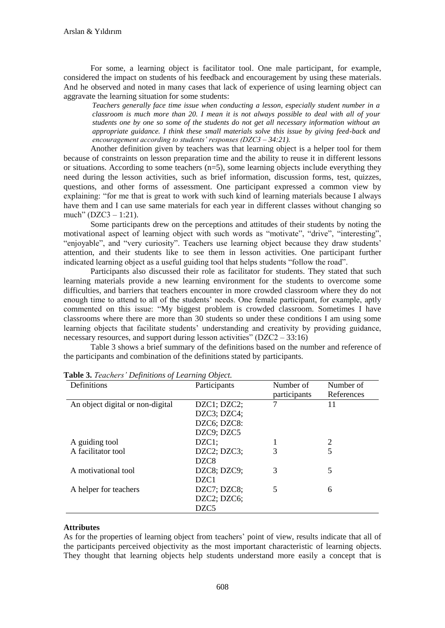For some, a learning object is facilitator tool. One male participant, for example, considered the impact on students of his feedback and encouragement by using these materials. And he observed and noted in many cases that lack of experience of using learning object can aggravate the learning situation for some students:

*Teachers generally face time issue when conducting a lesson, especially student number in a classroom is much more than 20. I mean it is not always possible to deal with all of your students one by one so some of the students do not get all necessary information without an appropriate guidance. I think these small materials solve this issue by giving feed-back and encouragement according to students' responses (DZC3 – 34:21).*

Another definition given by teachers was that learning object is a helper tool for them because of constraints on lesson preparation time and the ability to reuse it in different lessons or situations. According to some teachers  $(n=5)$ , some learning objects include everything they need during the lesson activities, such as brief information, discussion forms, test, quizzes, questions, and other forms of assessment. One participant expressed a common view by explaining: "for me that is great to work with such kind of learning materials because I always have them and I can use same materials for each year in different classes without changing so much" (DZC3 – 1:21).

Some participants drew on the perceptions and attitudes of their students by noting the motivational aspect of learning object with such words as "motivate", "drive", "interesting", "enjoyable", and "very curiosity". Teachers use learning object because they draw students' attention, and their students like to see them in lesson activities. One participant further indicated learning object as a useful guiding tool that helps students "follow the road".

Participants also discussed their role as facilitator for students. They stated that such learning materials provide a new learning environment for the students to overcome some difficulties, and barriers that teachers encounter in more crowded classroom where they do not enough time to attend to all of the students' needs. One female participant, for example, aptly commented on this issue: "My biggest problem is crowded classroom. Sometimes I have classrooms where there are more than 30 students so under these conditions I am using some learning objects that facilitate students' understanding and creativity by providing guidance, necessary resources, and support during lesson activities" (DZC2 – 33:16)

Table 3 shows a brief summary of the definitions based on the number and reference of the participants and combination of the definitions stated by participants.

| Definitions                      | Participants      | Number of    | Number of  |
|----------------------------------|-------------------|--------------|------------|
|                                  |                   | participants | References |
| An object digital or non-digital | DZC1; DZC2;       | 7            | 11         |
|                                  | $DZC3$ ; $DZC4$ ; |              |            |
|                                  | DZC6; DZC8:       |              |            |
|                                  | DZC9; DZC5        |              |            |
| A guiding tool                   | $DZCl$ ;          |              | 2          |
| A facilitator tool               | DZC2; DZC3;       | 3            |            |
|                                  | DZC <sub>8</sub>  |              |            |
| A motivational tool              | DZC8; DZC9;       | 3            | 5          |
|                                  | DZC1              |              |            |
| A helper for teachers            | DZC7; DZC8;       | 5            | 6          |
|                                  | $DZC2$ ; $DZC6$ ; |              |            |
|                                  | DZC <sub>5</sub>  |              |            |

**Table 3.** *Teachers' Definitions of Learning Object.*

## **Attributes**

As for the properties of learning object from teachers' point of view, results indicate that all of the participants perceived objectivity as the most important characteristic of learning objects. They thought that learning objects help students understand more easily a concept that is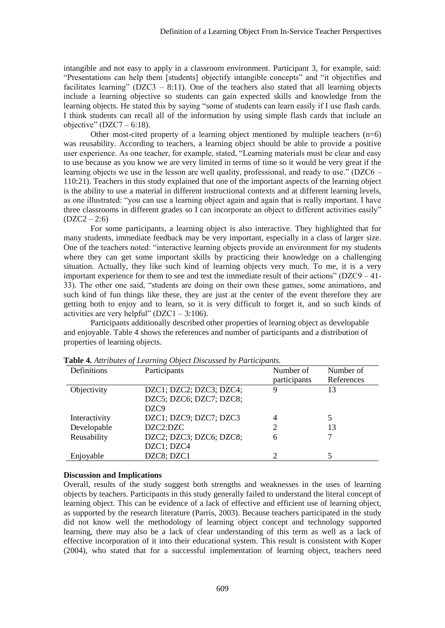intangible and not easy to apply in a classroom environment. Participant 3, for example, said: "Presentations can help them [students] objectify intangible concepts" and "it objectifies and facilitates learning" ( $DZC3 - 8:11$ ). One of the teachers also stated that all learning objects include a learning objective so students can gain expected skills and knowledge from the learning objects. He stated this by saying "some of students can learn easily if I use flash cards. I think students can recall all of the information by using simple flash cards that include an objective" (DZC7 – 6:18).

Other most-cited property of a learning object mentioned by multiple teachers (n=6) was reusability. According to teachers, a learning object should be able to provide a positive user experience. As one teacher, for example, stated, "Learning materials must be clear and easy to use because as you know we are very limited in terms of time so it would be very great if the learning objects we use in the lesson are well quality, professional, and ready to use." (DZC6 – 110:21). Teachers in this study explained that one of the important aspects of the learning object is the ability to use a material in different instructional contexts and at different learning levels, as one illustrated: "you can use a learning object again and again that is really important. I have three classrooms in different grades so I can incorporate an object to different activities easily"  $(DZC2 - 2:6)$ 

For some participants, a learning object is also interactive. They highlighted that for many students, immediate feedback may be very important, especially in a class of larger size. One of the teachers noted: "interactive learning objects provide an environment for my students where they can get some important skills by practicing their knowledge on a challenging situation. Actually, they like such kind of learning objects very much. To me, it is a very important experience for them to see and test the immediate result of their actions" ( $DZC9 - 41$ -33). The other one said, "students are doing on their own these games, some animations, and such kind of fun things like these, they are just at the center of the event therefore they are getting both to enjoy and to learn, so it is very difficult to forget it, and so such kinds of activities are very helpful" ( $DZC1 - 3:106$ ).

Participants additionally described other properties of learning object as developable and enjoyable. Table 4 shows the references and number of participants and a distribution of properties of learning objects.

| Definitions   | Participants            | Number of      | Number of  |
|---------------|-------------------------|----------------|------------|
|               |                         | participants   | References |
| Objectivity   | DZC1; DZC2; DZC3; DZC4; | 9              | 13         |
|               | DZC5; DZC6; DZC7; DZC8; |                |            |
|               | DZC9                    |                |            |
| Interactivity | DZC1; DZC9; DZC7; DZC3  | $\overline{4}$ |            |
| Developable   | DZC2:DZC                |                | 13         |
| Reusability   | DZC2; DZC3; DZC6; DZC8; | 6              |            |
|               | DZC1; DZC4              |                |            |
| Enjoyable     | DZC8; DZC1              |                |            |

**Table 4.** *Attributes of Learning Object Discussed by Participants.*

#### **Discussion and Implications**

Overall, results of the study suggest both strengths and weaknesses in the uses of learning objects by teachers. Participants in this study generally failed to understand the literal concept of learning object. This can be evidence of a lack of effective and efficient use of learning object, as supported by the research literature (Parris, 2003). Because teachers participated in the study did not know well the methodology of learning object concept and technology supported learning, there may also be a lack of clear understanding of this term as well as a lack of effective incorporation of it into their educational system. This result is consistent with Koper (2004), who stated that for a successful implementation of learning object, teachers need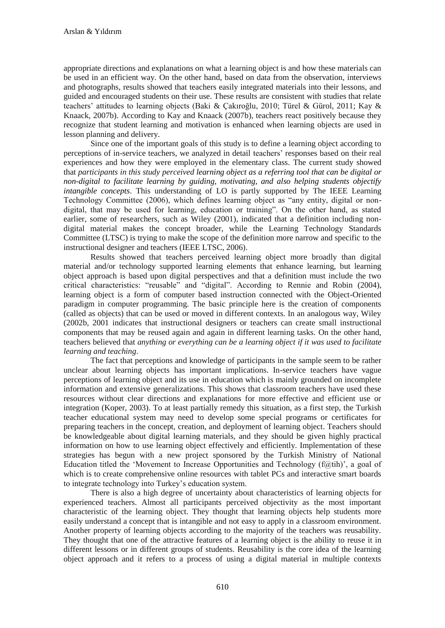appropriate directions and explanations on what a learning object is and how these materials can be used in an efficient way. On the other hand, based on data from the observation, interviews and photographs, results showed that teachers easily integrated materials into their lessons, and guided and encouraged students on their use. These results are consistent with studies that relate teachers' attitudes to learning objects (Baki & Çakıroğlu, 2010; Türel & Gürol, 2011; Kay & Knaack, 2007b). According to Kay and Knaack (2007b), teachers react positively because they recognize that student learning and motivation is enhanced when learning objects are used in lesson planning and delivery.

Since one of the important goals of this study is to define a learning object according to perceptions of in-service teachers, we analyzed in detail teachers' responses based on their real experiences and how they were employed in the elementary class. The current study showed that *participants in this study perceived learning object as a referring tool that can be digital or non-digital to facilitate learning by guiding, motivating, and also helping students objectify intangible concepts*. This understanding of LO is partly supported by The IEEE Learning Technology Committee (2006), which defines learning object as "any entity, digital or nondigital, that may be used for learning, education or training". On the other hand, as stated earlier, some of researchers, such as Wiley (2001), indicated that a definition including nondigital material makes the concept broader, while the Learning Technology Standards Committee (LTSC) is trying to make the scope of the definition more narrow and specific to the instructional designer and teachers (IEEE LTSC, 2006).

Results showed that teachers perceived learning object more broadly than digital material and/or technology supported learning elements that enhance learning, but learning object approach is based upon digital perspectives and that a definition must include the two critical characteristics: "reusable" and "digital". According to Rennie and Robin (2004), learning object is a form of computer based instruction connected with the Object-Oriented paradigm in computer programming. The basic principle here is the creation of components (called as objects) that can be used or moved in different contexts. In an analogous way, Wiley (2002b, 2001 indicates that instructional designers or teachers can create small instructional components that may be reused again and again in different learning tasks. On the other hand, teachers believed that *anything or everything can be a learning object if it was used to facilitate learning and teaching*.

The fact that perceptions and knowledge of participants in the sample seem to be rather unclear about learning objects has important implications. In-service teachers have vague perceptions of learning object and its use in education which is mainly grounded on incomplete information and extensive generalizations. This shows that classroom teachers have used these resources without clear directions and explanations for more effective and efficient use or integration (Koper, 2003). To at least partially remedy this situation, as a first step, the Turkish teacher educational system may need to develop some special programs or certificates for preparing teachers in the concept, creation, and deployment of learning object. Teachers should be knowledgeable about digital learning materials, and they should be given highly practical information on how to use learning object effectively and efficiently. Implementation of these strategies has begun with a new project sponsored by the Turkish Ministry of National Education titled the 'Movement to Increase Opportunities and Technology (f@tih)', a goal of which is to create comprehensive online resources with tablet PCs and interactive smart boards to integrate technology into Turkey's education system.

There is also a high degree of uncertainty about characteristics of learning objects for experienced teachers. Almost all participants perceived objectivity as the most important characteristic of the learning object. They thought that learning objects help students more easily understand a concept that is intangible and not easy to apply in a classroom environment. Another property of learning objects according to the majority of the teachers was reusability. They thought that one of the attractive features of a learning object is the ability to reuse it in different lessons or in different groups of students. Reusability is the core idea of the learning object approach and it refers to a process of using a digital material in multiple contexts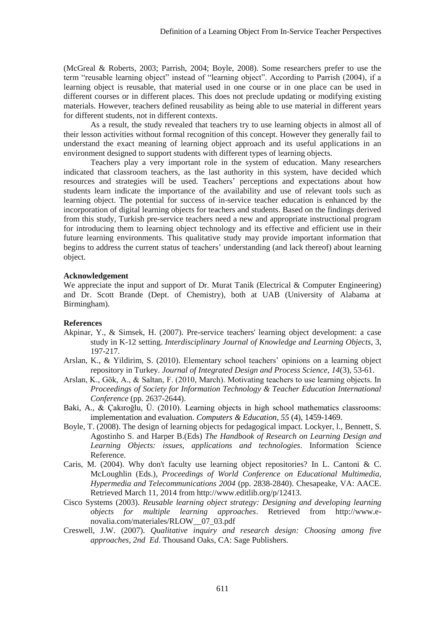(McGreal & Roberts, 2003; Parrish, 2004; Boyle, 2008). Some researchers prefer to use the term "reusable learning object" instead of "learning object". According to Parrish (2004), if a learning object is reusable, that material used in one course or in one place can be used in different courses or in different places. This does not preclude updating or modifying existing materials. However, teachers defined reusability as being able to use material in different years for different students, not in different contexts.

As a result, the study revealed that teachers try to use learning objects in almost all of their lesson activities without formal recognition of this concept. However they generally fail to understand the exact meaning of learning object approach and its useful applications in an environment designed to support students with different types of learning objects.

Teachers play a very important role in the system of education. Many researchers indicated that classroom teachers, as the last authority in this system, have decided which resources and strategies will be used. Teachers' perceptions and expectations about how students learn indicate the importance of the availability and use of relevant tools such as learning object. The potential for success of in-service teacher education is enhanced by the incorporation of digital learning objects for teachers and students. Based on the findings derived from this study, Turkish pre-service teachers need a new and appropriate instructional program for introducing them to learning object technology and its effective and efficient use in their future learning environments. This qualitative study may provide important information that begins to address the current status of teachers' understanding (and lack thereof) about learning object.

#### **Acknowledgement**

We appreciate the input and support of Dr. Murat Tanik (Electrical  $&$  Computer Engineering) and Dr. Scott Brande (Dept. of Chemistry), both at UAB (University of Alabama at Birmingham).

#### **References**

- Akpinar, Y., & Simsek, H. (2007). Pre-service teachers' learning object development: a case study in K-12 setting. *Interdisciplinary Journal of Knowledge and Learning Objects*, 3, 197-217.
- Arslan, K., & Yildirim, S. (2010). Elementary school teachers' opinions on a learning object repository in Turkey. *Journal of Integrated Design and Process Science*, *14*(3), 53-61.
- Arslan, K., Gök, A., & Saltan, F. (2010, March). Motivating teachers to use learning objects. In *Proceedings of Society for Information Technology & Teacher Education International Conference* (pp. 2637-2644).
- Baki, A., & Çakıroğlu, Ü. (2010). Learning objects in high school mathematics classrooms: implementation and evaluation. *Computers & Education*, *55* (4), 1459-1469.
- Boyle, T. (2008). The design of learning objects for pedagogical impact. Lockyer, l., Bennett, S. Agostinho S. and Harper B.(Eds) *The Handbook of Research on Learning Design and Learning Objects: issues, applications and technologies*. Information Science Reference.
- Caris, M. (2004). Why don't faculty use learning object repositories? In L. Cantoni & C. McLoughlin (Eds.), *Proceedings of World Conference on Educational Multimedia, Hypermedia and Telecommunications 2004* (pp. 2838-2840). Chesapeake, VA: AACE. Retrieved March 11, 2014 from http://www.editlib.org/p/12413.
- Cisco Systems (2003). *Reusable learning object strategy: Designing and developing learning objects for multiple learning approaches*. Retrieved from http://www.enovalia.com/materiales/RLOW\_\_07\_03.pdf
- Creswell, J.W. (2007). *Qualitative inquiry and research design: Choosing among five approaches, 2nd Ed*. Thousand Oaks, CA: Sage Publishers.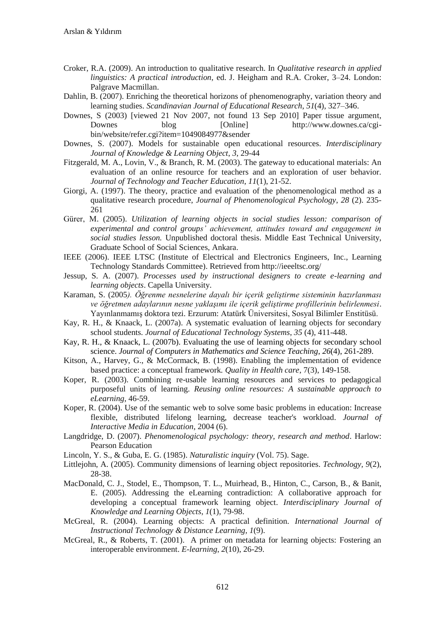- Croker, R.A. (2009). An introduction to qualitative research. In *Qualitative research in applied linguistics: A practical introduction*, ed. J. Heigham and R.A. Croker, 3–24. London: Palgrave Macmillan.
- Dahlin, B. (2007). Enriching the theoretical horizons of phenomenography, variation theory and learning studies. *Scandinavian Journal of Educational Research*, *51*(4), 327–346.
- Downes, S (2003) [viewed 21 Nov 2007, not found 13 Sep 2010] Paper tissue argument, Downes blog [Online] http://www.downes.ca/cgibin/website/refer.cgi?item=1049084977&sender
- Downes, S. (2007). Models for sustainable open educational resources. *Interdisciplinary Journal of Knowledge & Learning Object*, *3*, 29-44
- Fitzgerald, M. A., Lovin, V., & Branch, R. M. (2003). The gateway to educational materials: An evaluation of an online resource for teachers and an exploration of user behavior. *Journal of Technology and Teacher Education*, *11*(1), 21-52.
- Giorgi, A. (1997). The theory, practice and evaluation of the phenomenological method as a qualitative research procedure, *Journal of Phenomenological Psychology*, *28* (2). 235- 261
- Gürer, M. (2005). *Utilization of learning objects in social studies lesson: comparison of experimental and control groups' achievement, attitudes toward and engagement in social studies lesson.* Unpublished doctoral thesis. Middle East Technical University, Graduate School of Social Sciences, Ankara.
- IEEE (2006). IEEE LTSC (Institute of Electrical and Electronics Engineers, Inc., Learning Technology Standards Committee). Retrieved from http://ieeeltsc.org/
- Jessup, S. A. (2007). *Processes used by instructional designers to create e-learning and learning objects*. Capella University.
- Karaman, S. (2005*). Öğrenme nesnelerine dayalı bir içerik geliştirme sisteminin hazırlanması ve öğretmen adaylarının nesne yaklaşımı ile içerik geliştirme profillerinin belirlenmesi*. Yayınlanmamış doktora tezi. Erzurum: Atatürk Üniversitesi, Sosyal Bilimler Enstitüsü.
- Kay, R. H., & Knaack, L. (2007a). A systematic evaluation of learning objects for secondary school students. *Journal of Educational Technology Systems*, *35* (4), 411-448.
- Kay, R. H., & Knaack, L. (2007b). Evaluating the use of learning objects for secondary school science. *Journal of Computers in Mathematics and Science Teaching*, *26*(4), 261-289.
- Kitson, A., Harvey, G., & McCormack, B. (1998). Enabling the implementation of evidence based practice: a conceptual framework*. Quality in Health care*, 7(3), 149-158.
- Koper, R. (2003). Combining re-usable learning resources and services to pedagogical purposeful units of learning. *Reusing online resources: A sustainable approach to eLearning*, 46-59.
- Koper, R. (2004). Use of the semantic web to solve some basic problems in education: Increase flexible, distributed lifelong learning, decrease teacher's workload. *Journal of Interactive Media in Education,* 2004 (6).
- Langdridge, D. (2007). *Phenomenological psychology: theory, research and method*. Harlow: Pearson Education
- Lincoln, Y. S., & Guba, E. G. (1985). *Naturalistic inquiry* (Vol. 75). Sage.
- Littlejohn, A. (2005). Community dimensions of learning object repositories. *Technology, 9*(2), 28-38.
- MacDonald, C. J., Stodel, E., Thompson, T. L., Muirhead, B., Hinton, C., Carson, B., & Banit, E. (2005). Addressing the eLearning contradiction: A collaborative approach for developing a conceptual framework learning object. *Interdisciplinary Journal of Knowledge and Learning Objects*, *1*(1), 79-98.
- McGreal, R. (2004). Learning objects: A practical definition. *International Journal of Instructional Technology & Distance Learning, 1*(9).
- McGreal, R., & Roberts, T. (2001). A primer on metadata for learning objects: Fostering an interoperable environment. *E-learning*, *2*(10), 26-29.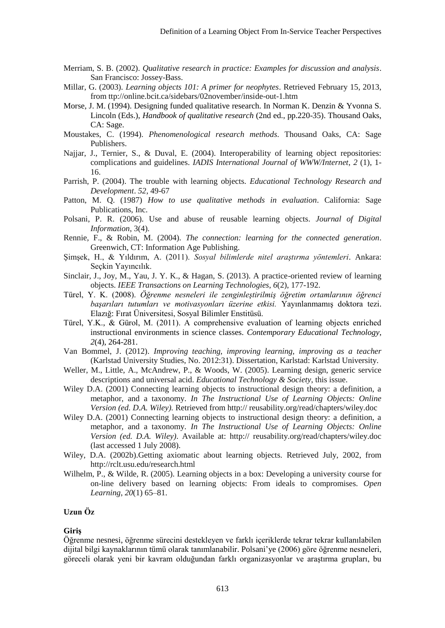- Merriam, S. B. (2002). *Qualitative research in practice: Examples for discussion and analysis*. San Francisco: Jossey-Bass.
- Millar, G. (2003). *Learning objects 101: A primer for neophytes*. Retrieved February 15, 2013, from ttp://online.bcit.ca/sidebars/02november/inside-out-1.htm
- Morse, J. M. (1994). Designing funded qualitative research. In Norman K. Denzin & Yvonna S. Lincoln (Eds.), *Handbook of qualitative research* (2nd ed., pp.220-35). Thousand Oaks, CA: Sage.
- Moustakes, C. (1994). *Phenomenological research methods*. Thousand Oaks, CA: Sage Publishers.
- Najjar, J., Ternier, S., & Duval, E. (2004). Interoperability of learning object repositories: complications and guidelines. *IADIS International Journal of WWW/Internet*, *2* (1), 1- 16.
- Parrish, P. (2004). The trouble with learning objects. *Educational Technology Research and Development*. *52*, 49-67
- Patton, M. Q. (1987) *How to use qualitative methods in evaluation*. California: Sage Publications, Inc.
- Polsani, P. R. (2006). Use and abuse of reusable learning objects. *Journal of Digital Information*, 3(4).
- Rennie, F., & Robin, M. (2004). *The connection: learning for the connected generation*. Greenwich, CT: Information Age Publishing.
- Şimşek, H., & Yıldırım, A. (2011). *Sosyal bilimlerde nitel araştırma yöntemleri*. Ankara: Seçkin Yayıncılık.
- Sinclair, J., Joy, M., Yau, J. Y. K., & Hagan, S. (2013). A practice-oriented review of learning objects. *IEEE Transactions on Learning Technologies*, *6*(2), 177-192.
- Türel, Y. K. (2008). *Öğrenme nesneleri ile zenginleştirilmiş öğretim ortamlarının öğrenci başarıları tutumları ve motivasyonları üzerine etkisi.* Yayınlanmamış doktora tezi. Elazığ: Fırat Üniversitesi, Sosyal Bilimler Enstitüsü.
- Türel, Y.K., & Gürol, M. (2011). A comprehensive evaluation of learning objects enriched instructional environments in science classes. *Contemporary Educational Technology*, *2*(4), 264-281.
- Van Bommel, J. (2012). *Improving teaching, improving learning, improving as a teacher* (Karlstad University Studies, No. 2012:31). Dissertation, Karlstad: Karlstad University.
- Weller, M., Little, A., McAndrew, P., & Woods, W. (2005). Learning design, generic service descriptions and universal acid. *Educational Technology & Society*, this issue.
- Wiley D.A. (2001) Connecting learning objects to instructional design theory: a definition, a metaphor, and a taxonomy. *In The Instructional Use of Learning Objects: Online Version (ed. D.A. Wiley).* Retrieved from http:// reusability.org/read/chapters/wiley.doc
- Wiley D.A. (2001) Connecting learning objects to instructional design theory: a definition, a metaphor, and a taxonomy. *In The Instructional Use of Learning Objects: Online Version (ed. D.A. Wiley)*. Available at: http:// reusability.org/read/chapters/wiley.doc (last accessed 1 July 2008).
- Wiley, D.A. (2002b).Getting axiomatic about learning objects. Retrieved July, 2002, from http://rclt.usu.edu/research.html
- Wilhelm, P., & Wilde, R. (2005). Learning objects in a box: Developing a university course for on-line delivery based on learning objects: From ideals to compromises. *Open Learning*, *20*(1) 65–81.

# **Uzun Öz**

#### **Giriş**

Öğrenme nesnesi, öğrenme sürecini destekleyen ve farklı içeriklerde tekrar tekrar kullanılabilen dijital bilgi kaynaklarının tümü olarak tanımlanabilir. Polsani'ye (2006) göre öğrenme nesneleri, göreceli olarak yeni bir kavram olduğundan farklı organizasyonlar ve araştırma grupları, bu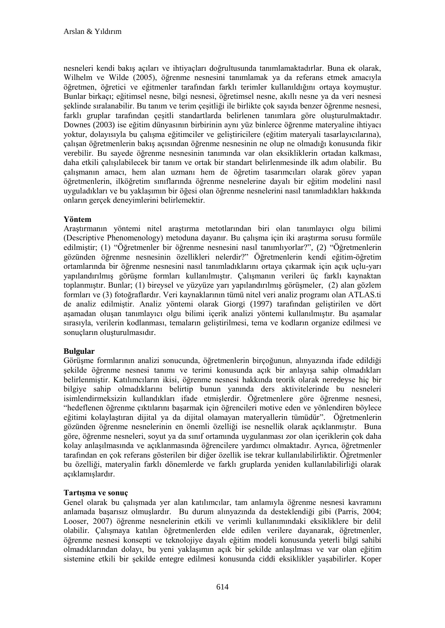nesneleri kendi bakış açıları ve ihtiyaçları doğrultusunda tanımlamaktadırlar. Buna ek olarak, Wilhelm ve Wilde (2005), öğrenme nesnesini tanımlamak ya da referans etmek amacıyla öğretmen, öğretici ve eğitmenler tarafından farklı terimler kullanıldığını ortaya koymuştur. Bunlar birkaçı; eğitimsel nesne, bilgi nesnesi, öğretimsel nesne, akıllı nesne ya da veri nesnesi şeklinde sıralanabilir. Bu tanım ve terim çeşitliği ile birlikte çok sayıda benzer öğrenme nesnesi, farklı gruplar tarafından çeşitli standartlarda belirlenen tanımlara göre oluşturulmaktadır. Downes (2003) ise eğitim dünyasının birbirinin aynı yüz binlerce öğrenme materyaline ihtiyacı yoktur, dolayısıyla bu çalışma eğitimciler ve geliştiricilere (eğitim materyali tasarlayıcılarına), çalışan öğretmenlerin bakış açısından öğrenme nesnesinin ne olup ne olmadığı konusunda fikir verebilir. Bu sayede öğrenme nesnesinin tanımında var olan eksikliklerin ortadan kalkması, daha etkili çalışılabilecek bir tanım ve ortak bir standart belirlenmesinde ilk adım olabilir. Bu çalışmanın amacı, hem alan uzmanı hem de öğretim tasarımcıları olarak görev yapan öğretmenlerin, ilköğretim sınıflarında öğrenme nesnelerine dayalı bir eğitim modelini nasıl uyguladıkları ve bu yaklaşımın bir öğesi olan öğrenme nesnelerini nasıl tanımladıkları hakkında onların gerçek deneyimlerini belirlemektir.

# **Yöntem**

Araştırmanın yöntemi nitel araştırma metotlarından biri olan tanımlayıcı olgu bilimi (Descriptive Phenomenology) metoduna dayanır. Bu çalışma için iki araştırma sorusu formüle edilmiştir; (1) "Öğretmenler bir öğrenme nesnesini nasıl tanımlıyorlar?", (2) "Öğretmenlerin gözünden öğrenme nesnesinin özellikleri nelerdir?" Öğretmenlerin kendi eğitim-öğretim ortamlarında bir öğrenme nesnesini nasıl tanımladıklarını ortaya çıkarmak için açık uçlu-yarı yapılandırılmış görüşme formları kullanılmıştır. Çalışmanın verileri üç farklı kaynaktan toplanmıştır. Bunlar; (1) bireysel ve yüzyüze yarı yapılandırılmış görüşmeler, (2) alan gözlem formları ve (3) fotoğraflardır. Veri kaynaklarının tümü nitel veri analiz programı olan ATLAS.ti de analiz edilmiştir. Analiz yöntemi olarak Giorgi (1997) tarafından geliştirilen ve dört aşamadan oluşan tanımlayıcı olgu bilimi içerik analizi yöntemi kullanılmıştır. Bu aşamalar sırasıyla, verilerin kodlanması, temaların geliştirilmesi, tema ve kodların organize edilmesi ve sonuçların oluşturulmasıdır.

## **Bulgular**

Görüşme formlarının analizi sonucunda, öğretmenlerin birçoğunun, alınyazında ifade edildiği şekilde öğrenme nesnesi tanımı ve terimi konusunda açık bir anlayışa sahip olmadıkları belirlenmiştir. Katılımcıların ikisi, öğrenme nesnesi hakkında teorik olarak neredeyse hiç bir bilgiye sahip olmadıklarını belirtip bunun yanında ders aktivitelerinde bu nesneleri isimlendirmeksizin kullandıkları ifade etmişlerdir. Öğretmenlere göre öğrenme nesnesi, "hedeflenen öğrenme çıktılarını başarmak için öğrencileri motive eden ve yönlendiren böylece eğitimi kolaylaştıran dijital ya da dijital olamayan materyallerin tümüdür". Öğretmenlerin gözünden öğrenme nesnelerinin en önemli özelliği ise nesnellik olarak açıklanmıştır. Buna göre, öğrenme nesneleri, soyut ya da sınıf ortamında uygulanması zor olan içeriklerin çok daha kolay anlaşılmasında ve açıklanmasında öğrencilere yardımcı olmaktadır. Ayrıca, öğretmenler tarafından en çok referans gösterilen bir diğer özellik ise tekrar kullanılabilirliktir. Öğretmenler bu özelliği, materyalin farklı dönemlerde ve farklı gruplarda yeniden kullanılabilirliği olarak açıklamışlardır.

# **Tartışma ve sonuç**

Genel olarak bu çalışmada yer alan katılımcılar, tam anlamıyla öğrenme nesnesi kavramını anlamada başarısız olmuşlardır. Bu durum alınyazında da desteklendiği gibi (Parris, 2004; Looser, 2007) öğrenme nesnelerinin etkili ve verimli kullanımındaki eksikliklere bir delil olabilir. Çalışmaya katılan öğretmenlerden elde edilen verilere dayanarak, öğretmenler, öğrenme nesnesi konsepti ve teknolojiye dayalı eğitim modeli konusunda yeterli bilgi sahibi olmadıklarından dolayı, bu yeni yaklaşımın açık bir şekilde anlaşılması ve var olan eğitim sistemine etkili bir şekilde entegre edilmesi konusunda ciddi eksiklikler yaşabilirler. Koper